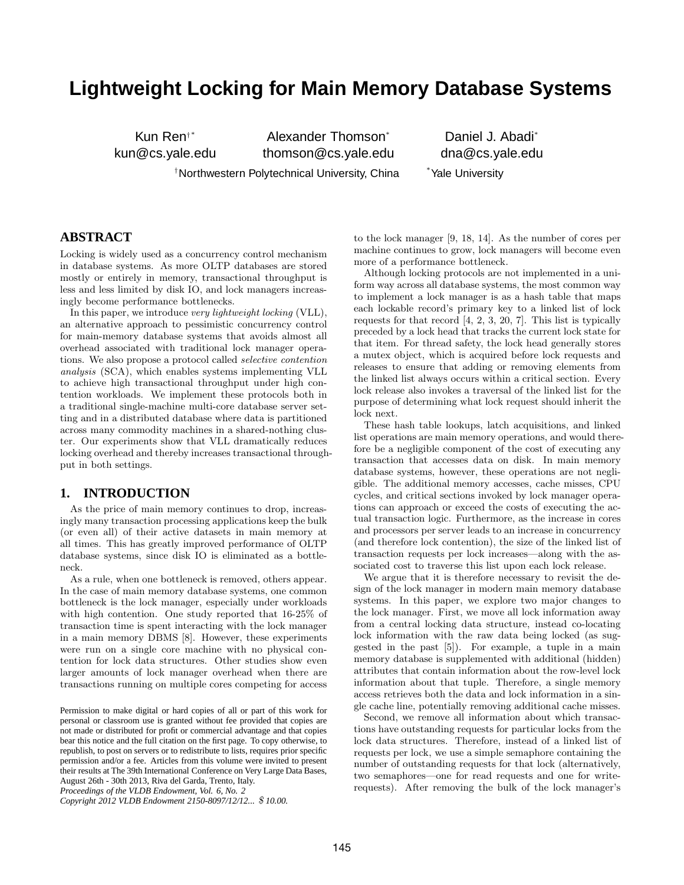# **Lightweight Locking for Main Memory Database Systems**

Kun Ren†\* kun@cs.yale.edu

Alexander Thomson\* thomson@cs.yale.edu

Daniel J. Abadi\* dna@cs.yale.edu <sup>†</sup>Northwestern Polytechnical University, China \*\*\* Yale University

# **ABSTRACT**

Locking is widely used as a concurrency control mechanism in database systems. As more OLTP databases are stored mostly or entirely in memory, transactional throughput is less and less limited by disk IO, and lock managers increasingly become performance bottlenecks.

In this paper, we introduce *very lightweight locking* (VLL), an alternative approach to pessimistic concurrency control for main-memory database systems that avoids almost all overhead associated with traditional lock manager operations. We also propose a protocol called selective contention analysis (SCA), which enables systems implementing VLL to achieve high transactional throughput under high contention workloads. We implement these protocols both in a traditional single-machine multi-core database server setting and in a distributed database where data is partitioned across many commodity machines in a shared-nothing cluster. Our experiments show that VLL dramatically reduces locking overhead and thereby increases transactional throughput in both settings.

# **1. INTRODUCTION**

As the price of main memory continues to drop, increasingly many transaction processing applications keep the bulk (or even all) of their active datasets in main memory at all times. This has greatly improved performance of OLTP database systems, since disk IO is eliminated as a bottleneck.

As a rule, when one bottleneck is removed, others appear. In the case of main memory database systems, one common bottleneck is the lock manager, especially under workloads with high contention. One study reported that 16-25% of transaction time is spent interacting with the lock manager in a main memory DBMS [8]. However, these experiments were run on a single core machine with no physical contention for lock data structures. Other studies show even larger amounts of lock manager overhead when there are transactions running on multiple cores competing for access

*Proceedings of the VLDB Endowment, Vol. 6, No. 2*

*Copyright 2012 VLDB Endowment 2150-8097/12/12...* \$ *10.00.*

to the lock manager [9, 18, 14]. As the number of cores per machine continues to grow, lock managers will become even more of a performance bottleneck.

Although locking protocols are not implemented in a uniform way across all database systems, the most common way to implement a lock manager is as a hash table that maps each lockable record's primary key to a linked list of lock requests for that record [4, 2, 3, 20, 7]. This list is typically preceded by a lock head that tracks the current lock state for that item. For thread safety, the lock head generally stores a mutex object, which is acquired before lock requests and releases to ensure that adding or removing elements from the linked list always occurs within a critical section. Every lock release also invokes a traversal of the linked list for the purpose of determining what lock request should inherit the lock next.

These hash table lookups, latch acquisitions, and linked list operations are main memory operations, and would therefore be a negligible component of the cost of executing any transaction that accesses data on disk. In main memory database systems, however, these operations are not negligible. The additional memory accesses, cache misses, CPU cycles, and critical sections invoked by lock manager operations can approach or exceed the costs of executing the actual transaction logic. Furthermore, as the increase in cores and processors per server leads to an increase in concurrency (and therefore lock contention), the size of the linked list of transaction requests per lock increases—along with the associated cost to traverse this list upon each lock release.

We argue that it is therefore necessary to revisit the design of the lock manager in modern main memory database systems. In this paper, we explore two major changes to the lock manager. First, we move all lock information away from a central locking data structure, instead co-locating lock information with the raw data being locked (as suggested in the past [5]). For example, a tuple in a main memory database is supplemented with additional (hidden) attributes that contain information about the row-level lock information about that tuple. Therefore, a single memory access retrieves both the data and lock information in a single cache line, potentially removing additional cache misses.

Second, we remove all information about which transactions have outstanding requests for particular locks from the lock data structures. Therefore, instead of a linked list of requests per lock, we use a simple semaphore containing the number of outstanding requests for that lock (alternatively, two semaphores—one for read requests and one for writerequests). After removing the bulk of the lock manager's

145

Permission to make digital or hard copies of all or part of this work for personal or classroom use is granted without fee provided that copies are not made or distributed for profit or commercial advantage and that copies bear this notice and the full citation on the first page. To copy otherwise, to republish, to post on servers or to redistribute to lists, requires prior specific permission and/or a fee. Articles from this volume were invited to present their results at The 39th International Conference on Very Large Data Bases, August 26th - 30th 2013, Riva del Garda, Trento, Italy.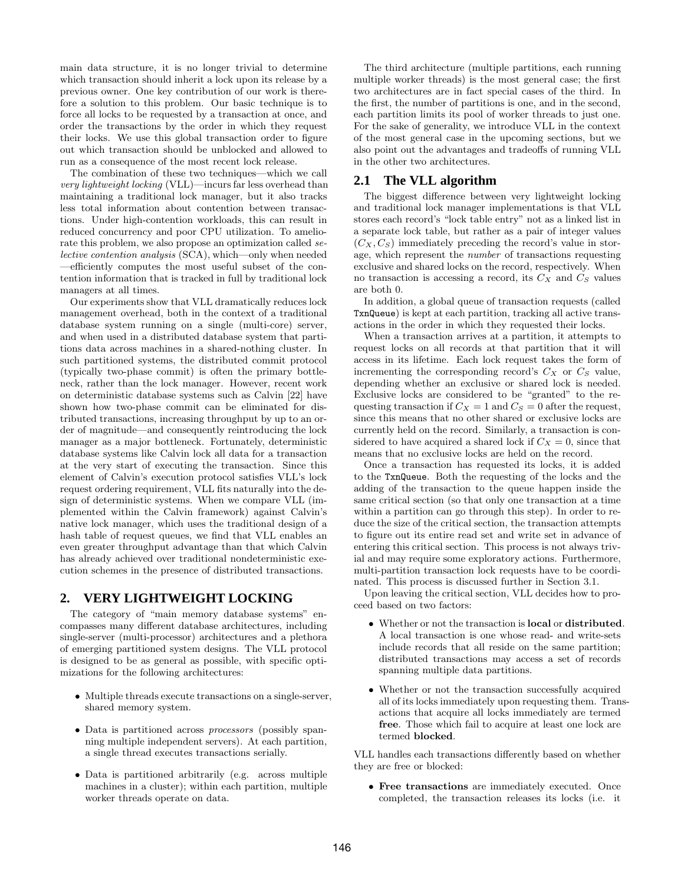main data structure, it is no longer trivial to determine which transaction should inherit a lock upon its release by a previous owner. One key contribution of our work is therefore a solution to this problem. Our basic technique is to force all locks to be requested by a transaction at once, and order the transactions by the order in which they request their locks. We use this global transaction order to figure out which transaction should be unblocked and allowed to run as a consequence of the most recent lock release.

The combination of these two techniques—which we call very lightweight locking (VLL)—incurs far less overhead than maintaining a traditional lock manager, but it also tracks less total information about contention between transactions. Under high-contention workloads, this can result in reduced concurrency and poor CPU utilization. To ameliorate this problem, we also propose an optimization called selective contention analysis (SCA), which—only when needed —efficiently computes the most useful subset of the contention information that is tracked in full by traditional lock managers at all times.

Our experiments show that VLL dramatically reduces lock management overhead, both in the context of a traditional database system running on a single (multi-core) server, and when used in a distributed database system that partitions data across machines in a shared-nothing cluster. In such partitioned systems, the distributed commit protocol (typically two-phase commit) is often the primary bottleneck, rather than the lock manager. However, recent work on deterministic database systems such as Calvin [22] have shown how two-phase commit can be eliminated for distributed transactions, increasing throughput by up to an order of magnitude—and consequently reintroducing the lock manager as a major bottleneck. Fortunately, deterministic database systems like Calvin lock all data for a transaction at the very start of executing the transaction. Since this element of Calvin's execution protocol satisfies VLL's lock request ordering requirement, VLL fits naturally into the design of deterministic systems. When we compare VLL (implemented within the Calvin framework) against Calvin's native lock manager, which uses the traditional design of a hash table of request queues, we find that VLL enables an even greater throughput advantage than that which Calvin has already achieved over traditional nondeterministic execution schemes in the presence of distributed transactions.

#### **2. VERY LIGHTWEIGHT LOCKING**

The category of "main memory database systems" encompasses many different database architectures, including single-server (multi-processor) architectures and a plethora of emerging partitioned system designs. The VLL protocol is designed to be as general as possible, with specific optimizations for the following architectures:

- Multiple threads execute transactions on a single-server, shared memory system.
- Data is partitioned across processors (possibly spanning multiple independent servers). At each partition, a single thread executes transactions serially.
- Data is partitioned arbitrarily (e.g. across multiple machines in a cluster); within each partition, multiple worker threads operate on data.

The third architecture (multiple partitions, each running multiple worker threads) is the most general case; the first two architectures are in fact special cases of the third. In the first, the number of partitions is one, and in the second, each partition limits its pool of worker threads to just one. For the sake of generality, we introduce VLL in the context of the most general case in the upcoming sections, but we also point out the advantages and tradeoffs of running VLL in the other two architectures.

## **2.1 The VLL algorithm**

The biggest difference between very lightweight locking and traditional lock manager implementations is that VLL stores each record's "lock table entry" not as a linked list in a separate lock table, but rather as a pair of integer values  $(C_X, C_S)$  immediately preceding the record's value in storage, which represent the number of transactions requesting exclusive and shared locks on the record, respectively. When no transaction is accessing a record, its  $C_X$  and  $C_S$  values are both 0.

In addition, a global queue of transaction requests (called TxnQueue) is kept at each partition, tracking all active transactions in the order in which they requested their locks.

When a transaction arrives at a partition, it attempts to request locks on all records at that partition that it will access in its lifetime. Each lock request takes the form of incrementing the corresponding record's  $C_X$  or  $C_S$  value, depending whether an exclusive or shared lock is needed. Exclusive locks are considered to be "granted" to the requesting transaction if  $C_X = 1$  and  $C_S = 0$  after the request, since this means that no other shared or exclusive locks are currently held on the record. Similarly, a transaction is considered to have acquired a shared lock if  $C_X = 0$ , since that means that no exclusive locks are held on the record.

Once a transaction has requested its locks, it is added to the TxnQueue. Both the requesting of the locks and the adding of the transaction to the queue happen inside the same critical section (so that only one transaction at a time within a partition can go through this step). In order to reduce the size of the critical section, the transaction attempts to figure out its entire read set and write set in advance of entering this critical section. This process is not always trivial and may require some exploratory actions. Furthermore, multi-partition transaction lock requests have to be coordinated. This process is discussed further in Section 3.1.

Upon leaving the critical section, VLL decides how to proceed based on two factors:

- Whether or not the transaction is local or distributed. A local transaction is one whose read- and write-sets include records that all reside on the same partition; distributed transactions may access a set of records spanning multiple data partitions.
- Whether or not the transaction successfully acquired all of its locks immediately upon requesting them. Transactions that acquire all locks immediately are termed free. Those which fail to acquire at least one lock are termed blocked.

VLL handles each transactions differently based on whether they are free or blocked:

• Free transactions are immediately executed. Once completed, the transaction releases its locks (i.e. it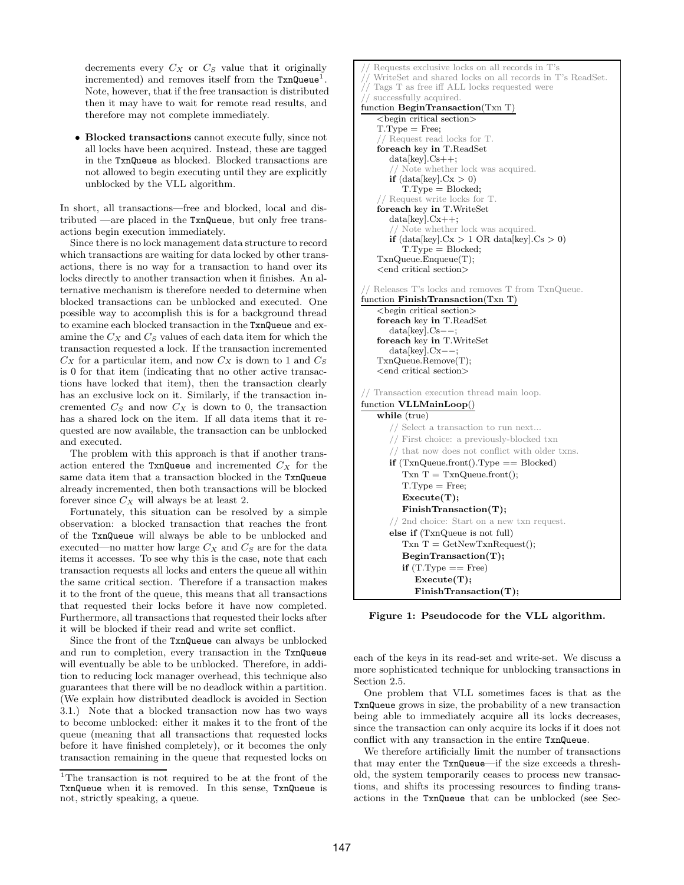decrements every  $C_X$  or  $C_S$  value that it originally incremented) and removes itself from the TxnQueue<sup>1</sup>. Note, however, that if the free transaction is distributed then it may have to wait for remote read results, and therefore may not complete immediately.

• Blocked transactions cannot execute fully, since not all locks have been acquired. Instead, these are tagged in the TxnQueue as blocked. Blocked transactions are not allowed to begin executing until they are explicitly unblocked by the VLL algorithm.

In short, all transactions—free and blocked, local and distributed —are placed in the TxnQueue, but only free transactions begin execution immediately.

Since there is no lock management data structure to record which transactions are waiting for data locked by other transactions, there is no way for a transaction to hand over its locks directly to another transaction when it finishes. An alternative mechanism is therefore needed to determine when blocked transactions can be unblocked and executed. One possible way to accomplish this is for a background thread to examine each blocked transaction in the TxnQueue and examine the  $C_X$  and  $C_S$  values of each data item for which the transaction requested a lock. If the transaction incremented  $C_X$  for a particular item, and now  $C_X$  is down to 1 and  $C_S$ is 0 for that item (indicating that no other active transactions have locked that item), then the transaction clearly has an exclusive lock on it. Similarly, if the transaction incremented  $C_S$  and now  $C_X$  is down to 0, the transaction has a shared lock on the item. If all data items that it requested are now available, the transaction can be unblocked and executed.

The problem with this approach is that if another transaction entered the  $TxnQueue$  and incremented  $C_X$  for the same data item that a transaction blocked in the TxnQueue already incremented, then both transactions will be blocked forever since  $C_X$  will always be at least 2.

Fortunately, this situation can be resolved by a simple observation: a blocked transaction that reaches the front of the TxnQueue will always be able to be unblocked and executed—no matter how large  $C_X$  and  $C_S$  are for the data items it accesses. To see why this is the case, note that each transaction requests all locks and enters the queue all within the same critical section. Therefore if a transaction makes it to the front of the queue, this means that all transactions that requested their locks before it have now completed. Furthermore, all transactions that requested their locks after it will be blocked if their read and write set conflict.

Since the front of the TxnQueue can always be unblocked and run to completion, every transaction in the TxnQueue will eventually be able to be unblocked. Therefore, in addition to reducing lock manager overhead, this technique also guarantees that there will be no deadlock within a partition. (We explain how distributed deadlock is avoided in Section 3.1.) Note that a blocked transaction now has two ways to become unblocked: either it makes it to the front of the queue (meaning that all transactions that requested locks before it have finished completely), or it becomes the only transaction remaining in the queue that requested locks on

Requests exclusive locks on all records in T's WriteSet and shared locks on all records in T's ReadSet. Tags T as free iff ALL locks requested were successfully acquired. function BeginTransaction(Txn T)  $\leq$ begin critical section $\geq$ T.Type = Free; // Request read locks for T. foreach key in T.ReadSet data[key].Cs++; Note whether lock was acquired.  $\overline{\textbf{if}}$  (data[key]. $Cx > 0$ ) T.Type = Blocked; // Request write locks for T. foreach key in T.WriteSet data[key].Cx++; Note whether lock was acquired. if  $(data[key].Cx > 1 \text{ OR } data[key].Cs > 0)$ T.Type = Blocked; TxnQueue.Enqueue(T);  $\leq$ end critical section $>$ // Releases T's locks and removes T from TxnQueue. function FinishTransaction(Txn T)  $\langle$ begin critical section $\rangle$ foreach key in T.ReadSet data[key].Cs−−; foreach key in T.WriteSet data[key].Cx−−; TxnQueue.Remove(T); <end critical section> // Transaction execution thread main loop. function VLLMainLoop() while (true) // Select a transaction to run next... // First choice: a previously-blocked txn // that now does not conflict with older txns. if  $(TxnQueue front()$ . Type  $==$  Blocked)  $Txn T = TxnQueue.front();$ T.Type = Free; Execute(T); FinishTransaction(T); // 2nd choice: Start on a new txn request. else if (TxnQueue is not full)  $Txn T = GetNewTxnRequest();$ BeginTransaction(T);  $if$  (T.Type == Free) Execute(T); FinishTransaction(T);

Figure 1: Pseudocode for the VLL algorithm.

each of the keys in its read-set and write-set. We discuss a more sophisticated technique for unblocking transactions in Section 2.5.

One problem that VLL sometimes faces is that as the TxnQueue grows in size, the probability of a new transaction being able to immediately acquire all its locks decreases, since the transaction can only acquire its locks if it does not conflict with any transaction in the entire TxnQueue.

We therefore artificially limit the number of transactions that may enter the TxnQueue—if the size exceeds a threshold, the system temporarily ceases to process new transactions, and shifts its processing resources to finding transactions in the TxnQueue that can be unblocked (see Sec-

<sup>1</sup>The transaction is not required to be at the front of the TxnQueue when it is removed. In this sense, TxnQueue is not, strictly speaking, a queue.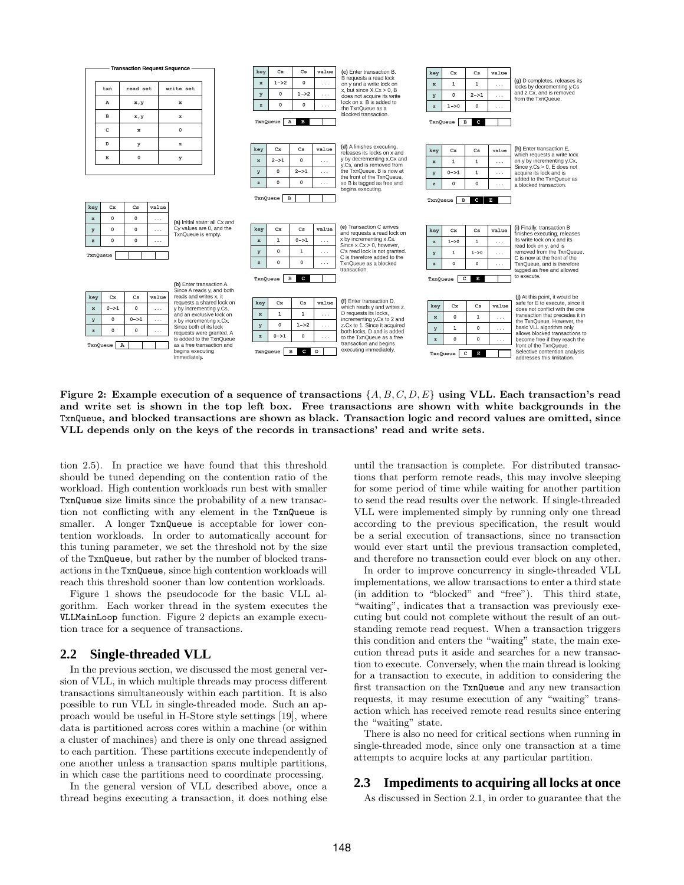

Figure 2: Example execution of a sequence of transactions  $\{A, B, C, D, E\}$  using VLL. Each transaction's read and write set is shown in the top left box. Free transactions are shown with white backgrounds in the TxnQueue, and blocked transactions are shown as black. Transaction logic and record values are omitted, since VLL depends only on the keys of the records in transactions' read and write sets.

tion 2.5). In practice we have found that this threshold should be tuned depending on the contention ratio of the workload. High contention workloads run best with smaller TxnQueue size limits since the probability of a new transaction not conflicting with any element in the TxnQueue is smaller. A longer TxnQueue is acceptable for lower contention workloads. In order to automatically account for this tuning parameter, we set the threshold not by the size of the TxnQueue, but rather by the number of blocked transactions in the TxnQueue, since high contention workloads will reach this threshold sooner than low contention workloads.

Figure 1 shows the pseudocode for the basic VLL algorithm. Each worker thread in the system executes the VLLMainLoop function. Figure 2 depicts an example execution trace for a sequence of transactions.

#### **2.2 Single-threaded VLL**

In the previous section, we discussed the most general version of VLL, in which multiple threads may process different transactions simultaneously within each partition. It is also possible to run VLL in single-threaded mode. Such an approach would be useful in H-Store style settings [19], where data is partitioned across cores within a machine (or within a cluster of machines) and there is only one thread assigned to each partition. These partitions execute independently of one another unless a transaction spans multiple partitions, in which case the partitions need to coordinate processing.

In the general version of VLL described above, once a thread begins executing a transaction, it does nothing else until the transaction is complete. For distributed transactions that perform remote reads, this may involve sleeping for some period of time while waiting for another partition to send the read results over the network. If single-threaded VLL were implemented simply by running only one thread according to the previous specification, the result would be a serial execution of transactions, since no transaction would ever start until the previous transaction completed, and therefore no transaction could ever block on any other.

In order to improve concurrency in single-threaded VLL implementations, we allow transactions to enter a third state (in addition to "blocked" and "free"). This third state, "waiting", indicates that a transaction was previously executing but could not complete without the result of an outstanding remote read request. When a transaction triggers this condition and enters the "waiting" state, the main execution thread puts it aside and searches for a new transaction to execute. Conversely, when the main thread is looking for a transaction to execute, in addition to considering the first transaction on the TxnQueue and any new transaction requests, it may resume execution of any "waiting" transaction which has received remote read results since entering the "waiting" state.

There is also no need for critical sections when running in single-threaded mode, since only one transaction at a time attempts to acquire locks at any particular partition.

## **2.3 Impediments to acquiring all locks at once**

As discussed in Section 2.1, in order to guarantee that the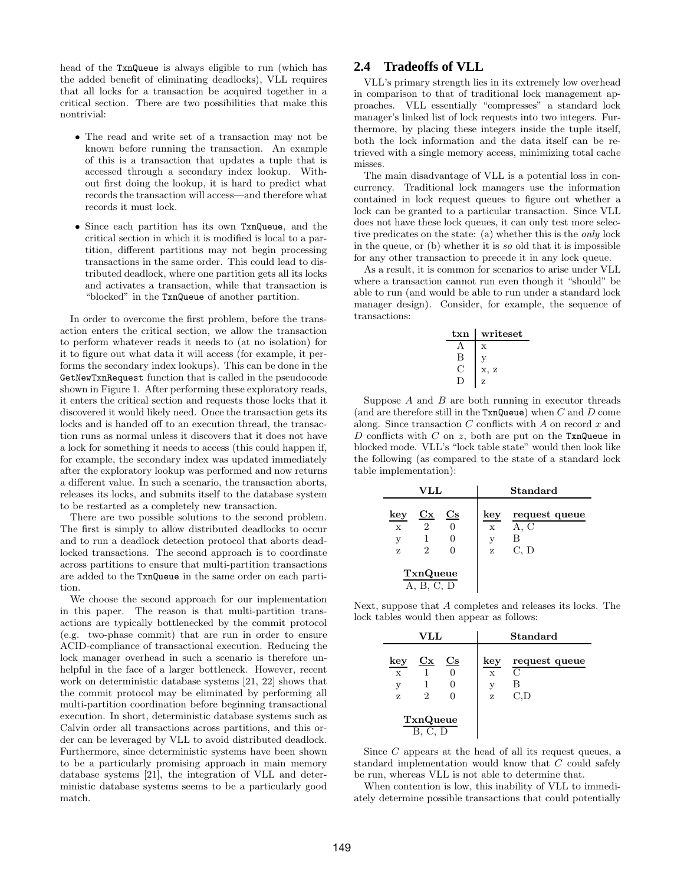head of the TxnQueue is always eligible to run (which has the added benefit of eliminating deadlocks), VLL requires that all locks for a transaction be acquired together in a critical section. There are two possibilities that make this nontrivial:

- The read and write set of a transaction may not be known before running the transaction. An example of this is a transaction that updates a tuple that is accessed through a secondary index lookup. Without first doing the lookup, it is hard to predict what records the transaction will access—and therefore what records it must lock.
- Since each partition has its own TxnQueue, and the critical section in which it is modified is local to a partition, different partitions may not begin processing transactions in the same order. This could lead to distributed deadlock, where one partition gets all its locks and activates a transaction, while that transaction is "blocked" in the TxnQueue of another partition.

In order to overcome the first problem, before the transaction enters the critical section, we allow the transaction to perform whatever reads it needs to (at no isolation) for it to figure out what data it will access (for example, it performs the secondary index lookups). This can be done in the GetNewTxnRequest function that is called in the pseudocode shown in Figure 1. After performing these exploratory reads, it enters the critical section and requests those locks that it discovered it would likely need. Once the transaction gets its locks and is handed off to an execution thread, the transaction runs as normal unless it discovers that it does not have a lock for something it needs to access (this could happen if, for example, the secondary index was updated immediately after the exploratory lookup was performed and now returns a different value. In such a scenario, the transaction aborts, releases its locks, and submits itself to the database system to be restarted as a completely new transaction.

There are two possible solutions to the second problem. The first is simply to allow distributed deadlocks to occur and to run a deadlock detection protocol that aborts deadlocked transactions. The second approach is to coordinate across partitions to ensure that multi-partition transactions are added to the TxnQueue in the same order on each partition.

We choose the second approach for our implementation in this paper. The reason is that multi-partition transactions are typically bottlenecked by the commit protocol (e.g. two-phase commit) that are run in order to ensure ACID-compliance of transactional execution. Reducing the lock manager overhead in such a scenario is therefore unhelpful in the face of a larger bottleneck. However, recent work on deterministic database systems [21, 22] shows that the commit protocol may be eliminated by performing all multi-partition coordination before beginning transactional execution. In short, deterministic database systems such as Calvin order all transactions across partitions, and this order can be leveraged by VLL to avoid distributed deadlock. Furthermore, since deterministic systems have been shown to be a particularly promising approach in main memory database systems [21], the integration of VLL and deterministic database systems seems to be a particularly good match.

# **2.4 Tradeoffs of VLL**

VLL's primary strength lies in its extremely low overhead in comparison to that of traditional lock management approaches. VLL essentially "compresses" a standard lock manager's linked list of lock requests into two integers. Furthermore, by placing these integers inside the tuple itself, both the lock information and the data itself can be retrieved with a single memory access, minimizing total cache misses.

The main disadvantage of VLL is a potential loss in concurrency. Traditional lock managers use the information contained in lock request queues to figure out whether a lock can be granted to a particular transaction. Since VLL does not have these lock queues, it can only test more selective predicates on the state: (a) whether this is the only lock in the queue, or (b) whether it is so old that it is impossible for any other transaction to precede it in any lock queue.

As a result, it is common for scenarios to arise under VLL where a transaction cannot run even though it "should" be able to run (and would be able to run under a standard lock manager design). Consider, for example, the sequence of transactions:

| $_{\rm txn}$ | writeset |
|--------------|----------|
|              | X        |
| В            |          |
|              | х,<br>z  |
|              | z        |

Suppose  $A$  and  $B$  are both running in executor threads (and are therefore still in the  $\texttt{TxnQueue}$ ) when C and D come along. Since transaction  $C$  conflicts with  $A$  on record  $x$  and D conflicts with  $C$  on  $z$ , both are put on the TxnQueue in blocked mode. VLL's "lock table state" would then look like the following (as compared to the state of a standard lock table implementation):

| ${\bf VLL}$                   |                       |                        | Standard                |                                    |
|-------------------------------|-----------------------|------------------------|-------------------------|------------------------------------|
| key<br>$\mathbf{x}$<br>у<br>Z | $C_{\rm X}$<br>2<br>2 | $\mathbf{C}\mathbf{s}$ | key<br>$\mathbf x$<br>z | request queue<br>A, C<br>В<br>C, D |
| TxnQueue<br>A, B, C, D        |                       |                        |                         |                                    |

Next, suppose that A completes and releases its locks. The lock tables would then appear as follows:

| VLL                                                                                             | Standard                            |                                         |
|-------------------------------------------------------------------------------------------------|-------------------------------------|-----------------------------------------|
| $\overline{\text{Cx}}$ $\overline{\text{Cs}}$<br>key<br>$\mathbf x$<br>y<br>$\mathfrak{D}$<br>z | key<br>$\bar{\mathbf{x}}$<br>V<br>z | request queue<br>$\cap$<br>$_{\rm C,D}$ |
| TxnQueue<br>C, D<br>В.                                                                          |                                     |                                         |
|                                                                                                 |                                     |                                         |

Since C appears at the head of all its request queues, a standard implementation would know that C could safely be run, whereas VLL is not able to determine that.

When contention is low, this inability of VLL to immediately determine possible transactions that could potentially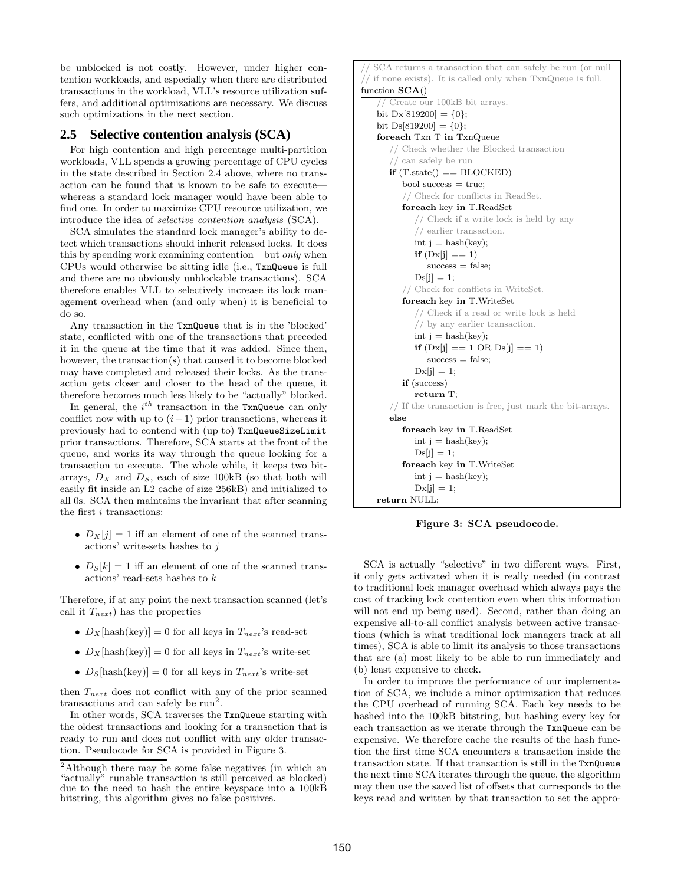be unblocked is not costly. However, under higher contention workloads, and especially when there are distributed transactions in the workload, VLL's resource utilization suffers, and additional optimizations are necessary. We discuss such optimizations in the next section.

#### **2.5 Selective contention analysis (SCA)**

For high contention and high percentage multi-partition workloads, VLL spends a growing percentage of CPU cycles in the state described in Section 2.4 above, where no transaction can be found that is known to be safe to execute whereas a standard lock manager would have been able to find one. In order to maximize CPU resource utilization, we introduce the idea of selective contention analysis (SCA).

SCA simulates the standard lock manager's ability to detect which transactions should inherit released locks. It does this by spending work examining contention—but only when CPUs would otherwise be sitting idle (i.e., TxnQueue is full and there are no obviously unblockable transactions). SCA therefore enables VLL to selectively increase its lock management overhead when (and only when) it is beneficial to do so.

Any transaction in the TxnQueue that is in the 'blocked' state, conflicted with one of the transactions that preceded it in the queue at the time that it was added. Since then, however, the transaction(s) that caused it to become blocked may have completed and released their locks. As the transaction gets closer and closer to the head of the queue, it therefore becomes much less likely to be "actually" blocked.

In general, the  $i^{th}$  transaction in the TxnQueue can only conflict now with up to  $(i-1)$  prior transactions, whereas it previously had to contend with (up to) TxnQueueSizeLimit prior transactions. Therefore, SCA starts at the front of the queue, and works its way through the queue looking for a transaction to execute. The whole while, it keeps two bitarrays,  $D_X$  and  $D_S$ , each of size 100kB (so that both will easily fit inside an L2 cache of size 256kB) and initialized to all 0s. SCA then maintains the invariant that after scanning the first i transactions:

- $D_X[j] = 1$  iff an element of one of the scanned transactions' write-sets hashes to  $j$
- $D_s[k] = 1$  iff an element of one of the scanned transactions' read-sets hashes to k

Therefore, if at any point the next transaction scanned (let's call it  $T_{next}$ ) has the properties

- $D_X[\text{hash(key)}] = 0$  for all keys in  $T_{next}$ 's read-set
- $D_X$ [hash(key)] = 0 for all keys in  $T_{next}$ 's write-set
- $D<sub>S</sub>[hash(key)] = 0$  for all keys in  $T<sub>next</sub>'s$  write-set

then  $T_{next}$  does not conflict with any of the prior scanned transactions and can safely be  $run^2$ .

In other words, SCA traverses the TxnQueue starting with the oldest transactions and looking for a transaction that is ready to run and does not conflict with any older transaction. Pseudocode for SCA is provided in Figure 3.

SCA returns a transaction that can safely be run (or null // if none exists). It is called only when TxnQueue is full. function SCA() // Create our 100kB bit arrays. bit  $Dx[819200] = \{0\};$ bit  $Ds[819200] = \{0\};$ foreach Txn T in TxnQueue // Check whether the Blocked transaction // can safely be run  $if (T.state() == BLOCALED)$  $bool$  success  $=$  true; // Check for conflicts in ReadSet. foreach key in T.ReadSet // Check if a write lock is held by any // earlier transaction. int  $j = \text{hash(key)}$ ; if  $(Dx[j] == 1)$  $success = false;$  $Ds[j] = 1;$ // Check for conflicts in WriteSet. foreach key in T.WriteSet // Check if a read or write lock is held // by any earlier transaction. int  $j = \text{hash(key)}$ ; if  $(Dx[j] == 1 \text{ OR } Ds[j] == 1)$  $success = false$ ;  $Dx[i] = 1;$ if (success) return T; // If the transaction is free, just mark the bit-arrays. else foreach key in T.ReadSet int  $j = \text{hash(key)}$ ;  $Ds[j] = 1;$ foreach key in T.WriteSet int  $j = \text{hash(key)}$ ;  $Dx[i] = 1;$ return NULL;

Figure 3: SCA pseudocode.

SCA is actually "selective" in two different ways. First, it only gets activated when it is really needed (in contrast to traditional lock manager overhead which always pays the cost of tracking lock contention even when this information will not end up being used). Second, rather than doing an expensive all-to-all conflict analysis between active transactions (which is what traditional lock managers track at all times), SCA is able to limit its analysis to those transactions that are (a) most likely to be able to run immediately and (b) least expensive to check.

In order to improve the performance of our implementation of SCA, we include a minor optimization that reduces the CPU overhead of running SCA. Each key needs to be hashed into the 100kB bitstring, but hashing every key for each transaction as we iterate through the TxnQueue can be expensive. We therefore cache the results of the hash function the first time SCA encounters a transaction inside the transaction state. If that transaction is still in the TxnQueue the next time SCA iterates through the queue, the algorithm may then use the saved list of offsets that corresponds to the keys read and written by that transaction to set the appro-

<sup>2</sup>Although there may be some false negatives (in which an "actually" runable transaction is still perceived as blocked) due to the need to hash the entire keyspace into a  $100k\dot{B}$ bitstring, this algorithm gives no false positives.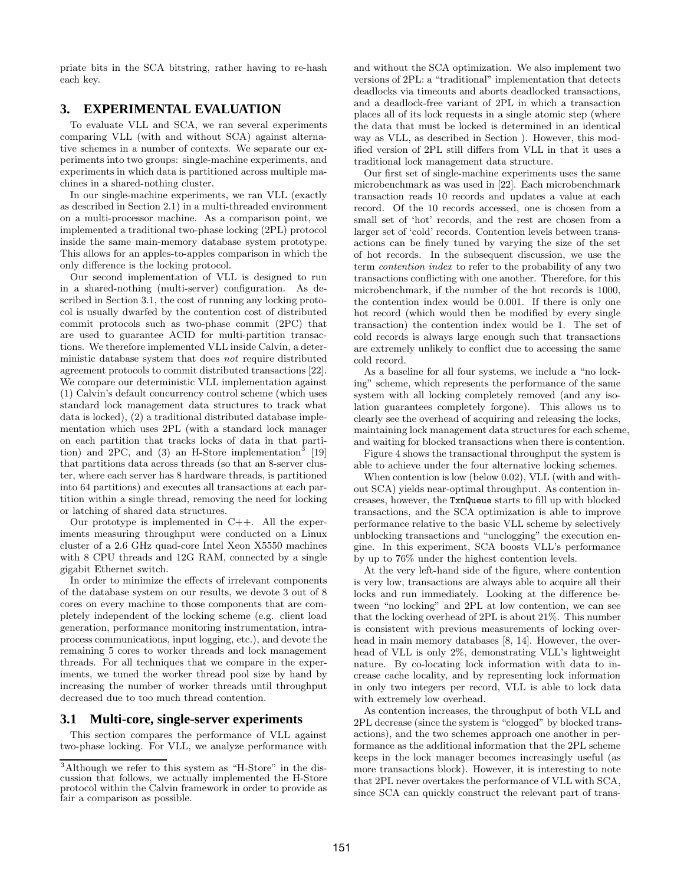priate bits in the SCA bitstring, rather having to re-hash each key.

# **3. EXPERIMENTAL EVALUATION**

To evaluate VLL and SCA, we ran several experiments comparing VLL (with and without SCA) against alternative schemes in a number of contexts. We separate our experiments into two groups: single-machine experiments, and experiments in which data is partitioned across multiple machines in a shared-nothing cluster.

In our single-machine experiments, we ran VLL (exactly as described in Section 2.1) in a multi-threaded environment on a multi-processor machine. As a comparison point, we implemented a traditional two-phase locking (2PL) protocol inside the same main-memory database system prototype. This allows for an apples-to-apples comparison in which the only difference is the locking protocol.

Our second implementation of VLL is designed to run in a shared-nothing (multi-server) configuration. As described in Section 3.1, the cost of running any locking protocol is usually dwarfed by the contention cost of distributed commit protocols such as two-phase commit (2PC) that are used to guarantee ACID for multi-partition transactions. We therefore implemented VLL inside Calvin, a deterministic database system that does not require distributed agreement protocols to commit distributed transactions [22]. We compare our deterministic VLL implementation against (1) Calvin's default concurrency control scheme (which uses standard lock management data structures to track what data is locked), (2) a traditional distributed database implementation which uses 2PL (with a standard lock manager on each partition that tracks locks of data in that partition) and  $2PC$ , and  $(3)$  an H-Store implementation<sup>3</sup>  $|19|$ that partitions data across threads (so that an 8-server cluster, where each server has 8 hardware threads, is partitioned into 64 partitions) and executes all transactions at each partition within a single thread, removing the need for locking or latching of shared data structures.

Our prototype is implemented in  $C++$ . All the experiments measuring throughput were conducted on a Linux cluster of a 2.6 GHz quad-core Intel Xeon X5550 machines with 8 CPU threads and 12G RAM, connected by a single gigabit Ethernet switch.

In order to minimize the effects of irrelevant components of the database system on our results, we devote 3 out of 8 cores on every machine to those components that are completely independent of the locking scheme (e.g. client load generation, performance monitoring instrumentation, intraprocess communications, input logging, etc.), and devote the remaining 5 cores to worker threads and lock management threads. For all techniques that we compare in the experiments, we tuned the worker thread pool size by hand by increasing the number of worker threads until throughput decreased due to too much thread contention.

#### **3.1 Multi-core, single-server experiments**

This section compares the performance of VLL against two-phase locking. For VLL, we analyze performance with and without the SCA optimization. We also implement two versions of 2PL: a "traditional" implementation that detects deadlocks via timeouts and aborts deadlocked transactions, and a deadlock-free variant of 2PL in which a transaction places all of its lock requests in a single atomic step (where the data that must be locked is determined in an identical way as VLL, as described in Section ). However, this modified version of 2PL still differs from VLL in that it uses a traditional lock management data structure.

Our first set of single-machine experiments uses the same microbenchmark as was used in [22]. Each microbenchmark transaction reads 10 records and updates a value at each record. Of the 10 records accessed, one is chosen from a small set of 'hot' records, and the rest are chosen from a larger set of 'cold' records. Contention levels between transactions can be finely tuned by varying the size of the set of hot records. In the subsequent discussion, we use the term contention index to refer to the probability of any two transactions conflicting with one another. Therefore, for this microbenchmark, if the number of the hot records is 1000, the contention index would be 0.001. If there is only one hot record (which would then be modified by every single transaction) the contention index would be 1. The set of cold records is always large enough such that transactions are extremely unlikely to conflict due to accessing the same cold record.

As a baseline for all four systems, we include a "no locking" scheme, which represents the performance of the same system with all locking completely removed (and any isolation guarantees completely forgone). This allows us to clearly see the overhead of acquiring and releasing the locks, maintaining lock management data structures for each scheme, and waiting for blocked transactions when there is contention.

Figure 4 shows the transactional throughput the system is able to achieve under the four alternative locking schemes.

When contention is low (below 0.02), VLL (with and without SCA) yields near-optimal throughput. As contention increases, however, the TxnQueue starts to fill up with blocked transactions, and the SCA optimization is able to improve performance relative to the basic VLL scheme by selectively unblocking transactions and "unclogging" the execution engine. In this experiment, SCA boosts VLL's performance by up to 76% under the highest contention levels.

At the very left-hand side of the figure, where contention is very low, transactions are always able to acquire all their locks and run immediately. Looking at the difference between "no locking" and 2PL at low contention, we can see that the locking overhead of 2PL is about 21%. This number is consistent with previous measurements of locking overhead in main memory databases [8, 14]. However, the overhead of VLL is only 2%, demonstrating VLL's lightweight nature. By co-locating lock information with data to increase cache locality, and by representing lock information in only two integers per record, VLL is able to lock data with extremely low overhead.

As contention increases, the throughput of both VLL and 2PL decrease (since the system is "clogged" by blocked transactions), and the two schemes approach one another in performance as the additional information that the 2PL scheme keeps in the lock manager becomes increasingly useful (as more transactions block). However, it is interesting to note that 2PL never overtakes the performance of VLL with SCA, since SCA can quickly construct the relevant part of trans-

<sup>3</sup>Although we refer to this system as "H-Store" in the discussion that follows, we actually implemented the H-Store protocol within the Calvin framework in order to provide as fair a comparison as possible.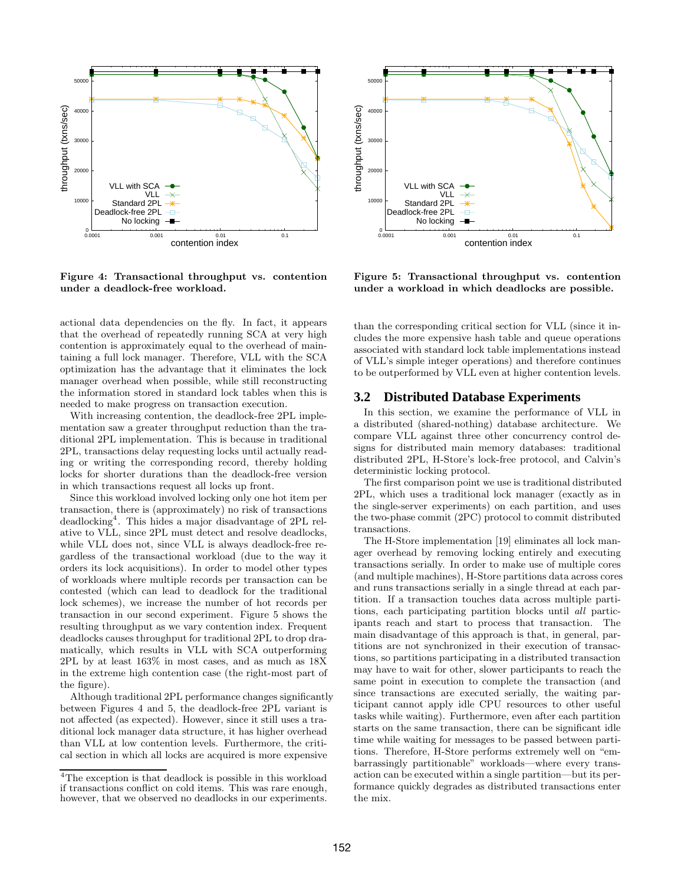

Figure 4: Transactional throughput vs. contention under a deadlock-free workload.

actional data dependencies on the fly. In fact, it appears that the overhead of repeatedly running SCA at very high contention is approximately equal to the overhead of maintaining a full lock manager. Therefore, VLL with the SCA optimization has the advantage that it eliminates the lock manager overhead when possible, while still reconstructing the information stored in standard lock tables when this is needed to make progress on transaction execution.

With increasing contention, the deadlock-free 2PL implementation saw a greater throughput reduction than the traditional 2PL implementation. This is because in traditional 2PL, transactions delay requesting locks until actually reading or writing the corresponding record, thereby holding locks for shorter durations than the deadlock-free version in which transactions request all locks up front.

Since this workload involved locking only one hot item per transaction, there is (approximately) no risk of transactions deadlocking<sup>4</sup> . This hides a major disadvantage of 2PL relative to VLL, since 2PL must detect and resolve deadlocks, while VLL does not, since VLL is always deadlock-free regardless of the transactional workload (due to the way it orders its lock acquisitions). In order to model other types of workloads where multiple records per transaction can be contested (which can lead to deadlock for the traditional lock schemes), we increase the number of hot records per transaction in our second experiment. Figure 5 shows the resulting throughput as we vary contention index. Frequent deadlocks causes throughput for traditional 2PL to drop dramatically, which results in VLL with SCA outperforming 2PL by at least 163% in most cases, and as much as 18X in the extreme high contention case (the right-most part of the figure).

Although traditional 2PL performance changes significantly between Figures 4 and 5, the deadlock-free 2PL variant is not affected (as expected). However, since it still uses a traditional lock manager data structure, it has higher overhead than VLL at low contention levels. Furthermore, the critical section in which all locks are acquired is more expensive



Figure 5: Transactional throughput vs. contention under a workload in which deadlocks are possible.

than the corresponding critical section for VLL (since it includes the more expensive hash table and queue operations associated with standard lock table implementations instead of VLL's simple integer operations) and therefore continues to be outperformed by VLL even at higher contention levels.

#### **3.2 Distributed Database Experiments**

In this section, we examine the performance of VLL in a distributed (shared-nothing) database architecture. We compare VLL against three other concurrency control designs for distributed main memory databases: traditional distributed 2PL, H-Store's lock-free protocol, and Calvin's deterministic locking protocol.

The first comparison point we use is traditional distributed 2PL, which uses a traditional lock manager (exactly as in the single-server experiments) on each partition, and uses the two-phase commit (2PC) protocol to commit distributed transactions.

The H-Store implementation [19] eliminates all lock manager overhead by removing locking entirely and executing transactions serially. In order to make use of multiple cores (and multiple machines), H-Store partitions data across cores and runs transactions serially in a single thread at each partition. If a transaction touches data across multiple partitions, each participating partition blocks until all participants reach and start to process that transaction. The main disadvantage of this approach is that, in general, partitions are not synchronized in their execution of transactions, so partitions participating in a distributed transaction may have to wait for other, slower participants to reach the same point in execution to complete the transaction (and since transactions are executed serially, the waiting participant cannot apply idle CPU resources to other useful tasks while waiting). Furthermore, even after each partition starts on the same transaction, there can be significant idle time while waiting for messages to be passed between partitions. Therefore, H-Store performs extremely well on "embarrassingly partitionable" workloads—where every transaction can be executed within a single partition—but its performance quickly degrades as distributed transactions enter the mix.

<sup>&</sup>lt;sup>4</sup>The exception is that deadlock is possible in this workload if transactions conflict on cold items. This was rare enough, however, that we observed no deadlocks in our experiments.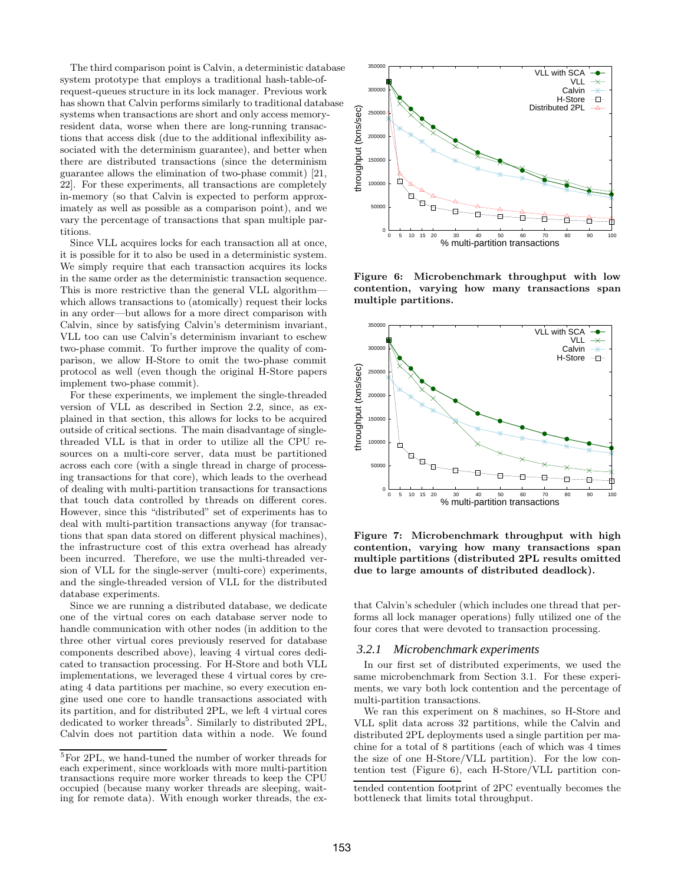The third comparison point is Calvin, a deterministic database system prototype that employs a traditional hash-table-ofrequest-queues structure in its lock manager. Previous work has shown that Calvin performs similarly to traditional database systems when transactions are short and only access memoryresident data, worse when there are long-running transactions that access disk (due to the additional inflexibility associated with the determinism guarantee), and better when there are distributed transactions (since the determinism guarantee allows the elimination of two-phase commit) [21, 22]. For these experiments, all transactions are completely in-memory (so that Calvin is expected to perform approximately as well as possible as a comparison point), and we vary the percentage of transactions that span multiple partitions.

Since VLL acquires locks for each transaction all at once, it is possible for it to also be used in a deterministic system. We simply require that each transaction acquires its locks in the same order as the deterministic transaction sequence. This is more restrictive than the general VLL algorithm which allows transactions to (atomically) request their locks in any order—but allows for a more direct comparison with Calvin, since by satisfying Calvin's determinism invariant, VLL too can use Calvin's determinism invariant to eschew two-phase commit. To further improve the quality of comparison, we allow H-Store to omit the two-phase commit protocol as well (even though the original H-Store papers implement two-phase commit).

For these experiments, we implement the single-threaded version of VLL as described in Section 2.2, since, as explained in that section, this allows for locks to be acquired outside of critical sections. The main disadvantage of singlethreaded VLL is that in order to utilize all the CPU resources on a multi-core server, data must be partitioned across each core (with a single thread in charge of processing transactions for that core), which leads to the overhead of dealing with multi-partition transactions for transactions that touch data controlled by threads on different cores. However, since this "distributed" set of experiments has to deal with multi-partition transactions anyway (for transactions that span data stored on different physical machines), the infrastructure cost of this extra overhead has already been incurred. Therefore, we use the multi-threaded version of VLL for the single-server (multi-core) experiments, and the single-threaded version of VLL for the distributed database experiments.

Since we are running a distributed database, we dedicate one of the virtual cores on each database server node to handle communication with other nodes (in addition to the three other virtual cores previously reserved for database components described above), leaving 4 virtual cores dedicated to transaction processing. For H-Store and both VLL implementations, we leveraged these 4 virtual cores by creating 4 data partitions per machine, so every execution engine used one core to handle transactions associated with its partition, and for distributed 2PL, we left 4 virtual cores dedicated to worker threads<sup>5</sup>. Similarly to distributed 2PL, Calvin does not partition data within a node. We found



Figure 6: Microbenchmark throughput with low contention, varying how many transactions span multiple partitions.



Figure 7: Microbenchmark throughput with high contention, varying how many transactions span multiple partitions (distributed 2PL results omitted due to large amounts of distributed deadlock).

that Calvin's scheduler (which includes one thread that performs all lock manager operations) fully utilized one of the four cores that were devoted to transaction processing.

#### *3.2.1 Microbenchmark experiments*

In our first set of distributed experiments, we used the same microbenchmark from Section 3.1. For these experiments, we vary both lock contention and the percentage of multi-partition transactions.

We ran this experiment on 8 machines, so H-Store and VLL split data across 32 partitions, while the Calvin and distributed 2PL deployments used a single partition per machine for a total of 8 partitions (each of which was 4 times the size of one H-Store/VLL partition). For the low contention test (Figure 6), each H-Store/VLL partition con-

 ${}^{5}$  For 2PL, we hand-tuned the number of worker threads for each experiment, since workloads with more multi-partition transactions require more worker threads to keep the CPU occupied (because many worker threads are sleeping, waiting for remote data). With enough worker threads, the ex-

tended contention footprint of 2PC eventually becomes the bottleneck that limits total throughput.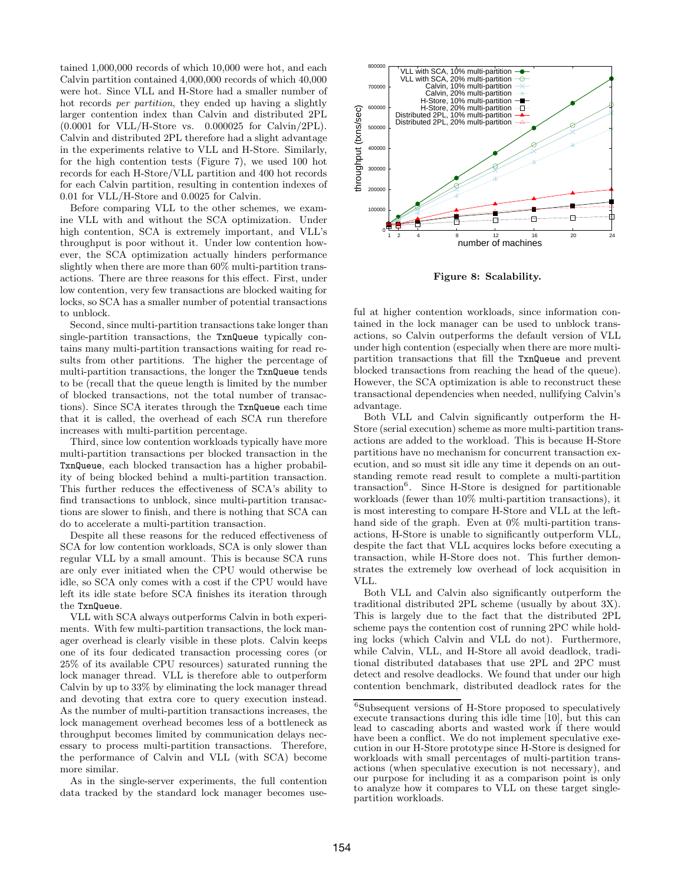tained 1,000,000 records of which 10,000 were hot, and each Calvin partition contained 4,000,000 records of which 40,000 were hot. Since VLL and H-Store had a smaller number of hot records per partition, they ended up having a slightly larger contention index than Calvin and distributed 2PL (0.0001 for VLL/H-Store vs. 0.000025 for Calvin/2PL). Calvin and distributed 2PL therefore had a slight advantage in the experiments relative to VLL and H-Store. Similarly, for the high contention tests (Figure 7), we used 100 hot records for each H-Store/VLL partition and 400 hot records for each Calvin partition, resulting in contention indexes of 0.01 for VLL/H-Store and 0.0025 for Calvin.

Before comparing VLL to the other schemes, we examine VLL with and without the SCA optimization. Under high contention, SCA is extremely important, and VLL's throughput is poor without it. Under low contention however, the SCA optimization actually hinders performance slightly when there are more than 60% multi-partition transactions. There are three reasons for this effect. First, under low contention, very few transactions are blocked waiting for locks, so SCA has a smaller number of potential transactions to unblock.

Second, since multi-partition transactions take longer than single-partition transactions, the TxnQueue typically contains many multi-partition transactions waiting for read results from other partitions. The higher the percentage of multi-partition transactions, the longer the TxnQueue tends to be (recall that the queue length is limited by the number of blocked transactions, not the total number of transactions). Since SCA iterates through the TxnQueue each time that it is called, the overhead of each SCA run therefore increases with multi-partition percentage.

Third, since low contention workloads typically have more multi-partition transactions per blocked transaction in the TxnQueue, each blocked transaction has a higher probability of being blocked behind a multi-partition transaction. This further reduces the effectiveness of SCA's ability to find transactions to unblock, since multi-partition transactions are slower to finish, and there is nothing that SCA can do to accelerate a multi-partition transaction.

Despite all these reasons for the reduced effectiveness of SCA for low contention workloads, SCA is only slower than regular VLL by a small amount. This is because SCA runs are only ever initiated when the CPU would otherwise be idle, so SCA only comes with a cost if the CPU would have left its idle state before SCA finishes its iteration through the TxnQueue.

VLL with SCA always outperforms Calvin in both experiments. With few multi-partition transactions, the lock manager overhead is clearly visible in these plots. Calvin keeps one of its four dedicated transaction processing cores (or 25% of its available CPU resources) saturated running the lock manager thread. VLL is therefore able to outperform Calvin by up to 33% by eliminating the lock manager thread and devoting that extra core to query execution instead. As the number of multi-partition transactions increases, the lock management overhead becomes less of a bottleneck as throughput becomes limited by communication delays necessary to process multi-partition transactions. Therefore, the performance of Calvin and VLL (with SCA) become more similar.

As in the single-server experiments, the full contention data tracked by the standard lock manager becomes use-



Figure 8: Scalability.

ful at higher contention workloads, since information contained in the lock manager can be used to unblock transactions, so Calvin outperforms the default version of VLL under high contention (especially when there are more multipartition transactions that fill the TxnQueue and prevent blocked transactions from reaching the head of the queue). However, the SCA optimization is able to reconstruct these transactional dependencies when needed, nullifying Calvin's advantage.

Both VLL and Calvin significantly outperform the H-Store (serial execution) scheme as more multi-partition transactions are added to the workload. This is because H-Store partitions have no mechanism for concurrent transaction execution, and so must sit idle any time it depends on an outstanding remote read result to complete a multi-partition transaction<sup>6</sup> . Since H-Store is designed for partitionable workloads (fewer than 10% multi-partition transactions), it is most interesting to compare H-Store and VLL at the lefthand side of the graph. Even at  $0\%$  multi-partition transactions, H-Store is unable to significantly outperform VLL, despite the fact that VLL acquires locks before executing a transaction, while H-Store does not. This further demonstrates the extremely low overhead of lock acquisition in VLL.

Both VLL and Calvin also significantly outperform the traditional distributed 2PL scheme (usually by about 3X). This is largely due to the fact that the distributed 2PL scheme pays the contention cost of running 2PC while holding locks (which Calvin and VLL do not). Furthermore, while Calvin, VLL, and H-Store all avoid deadlock, traditional distributed databases that use 2PL and 2PC must detect and resolve deadlocks. We found that under our high contention benchmark, distributed deadlock rates for the

<sup>6</sup> Subsequent versions of H-Store proposed to speculatively execute transactions during this idle time [10], but this can lead to cascading aborts and wasted work if there would have been a conflict. We do not implement speculative execution in our H-Store prototype since H-Store is designed for workloads with small percentages of multi-partition transactions (when speculative execution is not necessary), and our purpose for including it as a comparison point is only to analyze how it compares to VLL on these target singlepartition workloads.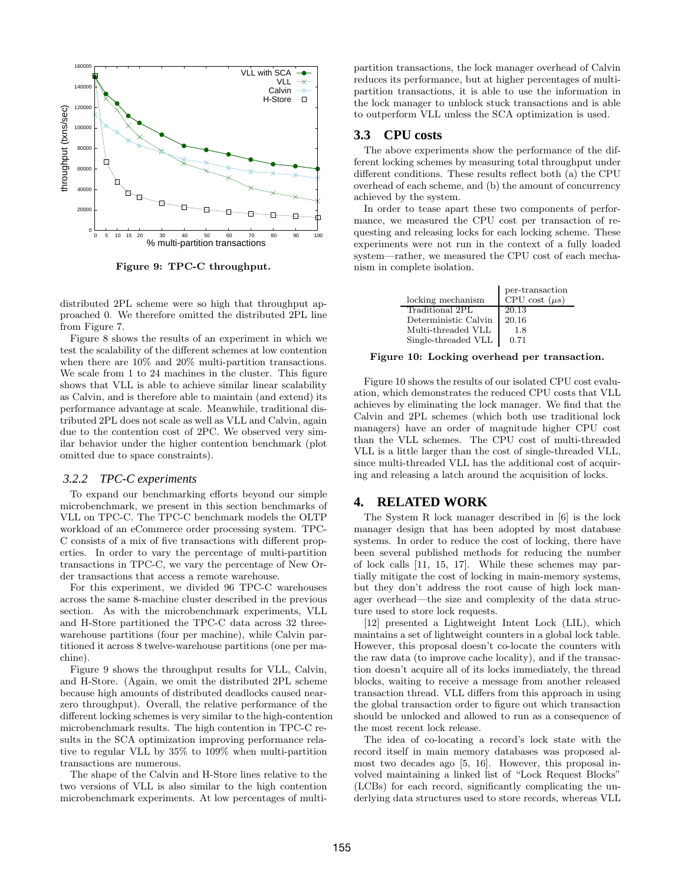

Figure 9: TPC-C throughput.

distributed 2PL scheme were so high that throughput approached 0. We therefore omitted the distributed 2PL line from Figure 7.

Figure 8 shows the results of an experiment in which we test the scalability of the different schemes at low contention when there are 10% and 20% multi-partition transactions. We scale from 1 to 24 machines in the cluster. This figure shows that VLL is able to achieve similar linear scalability as Calvin, and is therefore able to maintain (and extend) its performance advantage at scale. Meanwhile, traditional distributed 2PL does not scale as well as VLL and Calvin, again due to the contention cost of 2PC. We observed very similar behavior under the higher contention benchmark (plot omitted due to space constraints).

#### *3.2.2 TPC-C experiments*

To expand our benchmarking efforts beyond our simple microbenchmark, we present in this section benchmarks of VLL on TPC-C. The TPC-C benchmark models the OLTP workload of an eCommerce order processing system. TPC-C consists of a mix of five transactions with different properties. In order to vary the percentage of multi-partition transactions in TPC-C, we vary the percentage of New Order transactions that access a remote warehouse.

For this experiment, we divided 96 TPC-C warehouses across the same 8-machine cluster described in the previous section. As with the microbenchmark experiments, VLL and H-Store partitioned the TPC-C data across 32 threewarehouse partitions (four per machine), while Calvin partitioned it across 8 twelve-warehouse partitions (one per machine).

Figure 9 shows the throughput results for VLL, Calvin, and H-Store. (Again, we omit the distributed 2PL scheme because high amounts of distributed deadlocks caused nearzero throughput). Overall, the relative performance of the different locking schemes is very similar to the high-contention microbenchmark results. The high contention in TPC-C results in the SCA optimization improving performance relative to regular VLL by 35% to 109% when multi-partition transactions are numerous.

The shape of the Calvin and H-Store lines relative to the two versions of VLL is also similar to the high contention microbenchmark experiments. At low percentages of multipartition transactions, the lock manager overhead of Calvin reduces its performance, but at higher percentages of multipartition transactions, it is able to use the information in the lock manager to unblock stuck transactions and is able to outperform VLL unless the SCA optimization is used.

# **3.3 CPU costs**

The above experiments show the performance of the different locking schemes by measuring total throughput under different conditions. These results reflect both (a) the CPU overhead of each scheme, and (b) the amount of concurrency achieved by the system.

In order to tease apart these two components of performance, we measured the CPU cost per transaction of requesting and releasing locks for each locking scheme. These experiments were not run in the context of a fully loaded system—rather, we measured the CPU cost of each mechanism in complete isolation.

|                      | per-transaction    |
|----------------------|--------------------|
| locking mechanism    | CPU cost $(\mu s)$ |
| Traditional 2PL      | 20.13              |
| Deterministic Calvin | 20.16              |
| Multi-threaded VLL   | 1.8                |
| Single-threaded VLL  | 0.71               |

Figure 10: Locking overhead per transaction.

Figure 10 shows the results of our isolated CPU cost evaluation, which demonstrates the reduced CPU costs that VLL achieves by eliminating the lock manager. We find that the Calvin and 2PL schemes (which both use traditional lock managers) have an order of magnitude higher CPU cost than the VLL schemes. The CPU cost of multi-threaded VLL is a little larger than the cost of single-threaded VLL, since multi-threaded VLL has the additional cost of acquiring and releasing a latch around the acquisition of locks.

## **4. RELATED WORK**

The System R lock manager described in [6] is the lock manager design that has been adopted by most database systems. In order to reduce the cost of locking, there have been several published methods for reducing the number of lock calls [11, 15, 17]. While these schemes may partially mitigate the cost of locking in main-memory systems, but they don't address the root cause of high lock manager overhead—the size and complexity of the data structure used to store lock requests.

[12] presented a Lightweight Intent Lock (LIL), which maintains a set of lightweight counters in a global lock table. However, this proposal doesn't co-locate the counters with the raw data (to improve cache locality), and if the transaction doesn't acquire all of its locks immediately, the thread blocks, waiting to receive a message from another released transaction thread. VLL differs from this approach in using the global transaction order to figure out which transaction should be unlocked and allowed to run as a consequence of the most recent lock release.

The idea of co-locating a record's lock state with the record itself in main memory databases was proposed almost two decades ago [5, 16]. However, this proposal involved maintaining a linked list of "Lock Request Blocks" (LCBs) for each record, significantly complicating the underlying data structures used to store records, whereas VLL